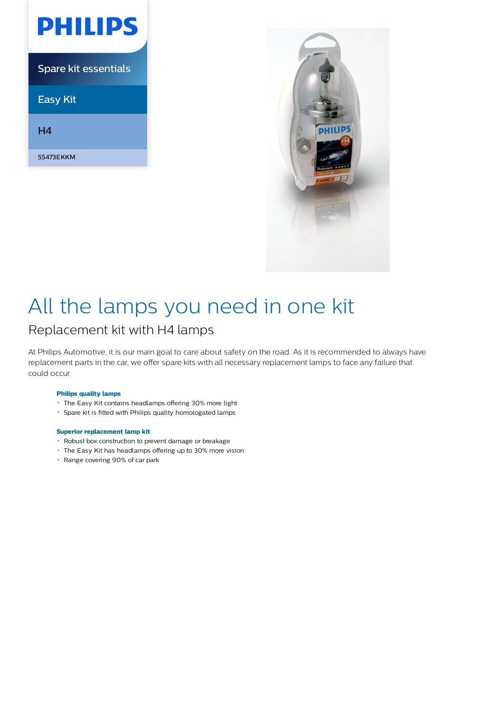| PHILIPS                     |
|-----------------------------|
| <b>Spare kit essentials</b> |
| <b>Easy Kit</b>             |
| H4                          |
| 55473EKKM                   |



# All the lamps you need in one kit

# Replacement kit with H4 lamps

At Philips Automotive, it is our main goal to care about safety on the road. As it is recommended to always have replacement parts in the car, we offer spare kits with all necessary replacement lamps to face any failure that could occur.

### **Philips quality lamps**

- The Easy Kit contains headlamps offering 30% more light
- Spare kit is fitted with Philips quality homologated lamps

#### **Superior replacement lamp kit**

- Robust box construction to prevent damage or breakage
- The Easy Kit has headlamps offering up to 30% more vision
- Range covering 90% of car park